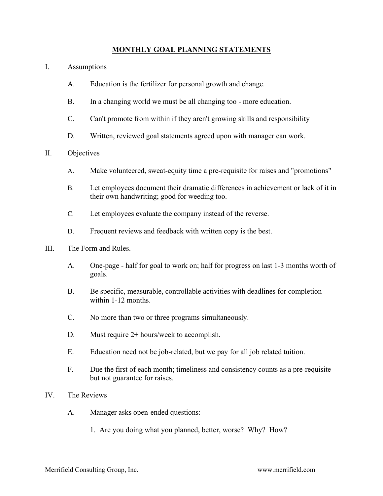## **MONTHLY GOAL PLANNING STATEMENTS**

- I. Assumptions
	- A. Education is the fertilizer for personal growth and change.
	- B. In a changing world we must be all changing too more education.
	- C. Can't promote from within if they aren't growing skills and responsibility
	- D. Written, reviewed goal statements agreed upon with manager can work.
- II. Objectives
	- A. Make volunteered, sweat-equity time a pre-requisite for raises and "promotions"
	- B. Let employees document their dramatic differences in achievement or lack of it in their own handwriting; good for weeding too.
	- C. Let employees evaluate the company instead of the reverse.
	- D. Frequent reviews and feedback with written copy is the best.
- III. The Form and Rules.
	- A. One-page half for goal to work on; half for progress on last 1-3 months worth of goals.
	- B. Be specific, measurable, controllable activities with deadlines for completion within 1-12 months.
	- C. No more than two or three programs simultaneously.
	- D. Must require 2+ hours/week to accomplish.
	- E. Education need not be job-related, but we pay for all job related tuition.
	- F. Due the first of each month; timeliness and consistency counts as a pre-requisite but not guarantee for raises.
- IV. The Reviews
	- A. Manager asks open-ended questions:
		- 1. Are you doing what you planned, better, worse? Why? How?